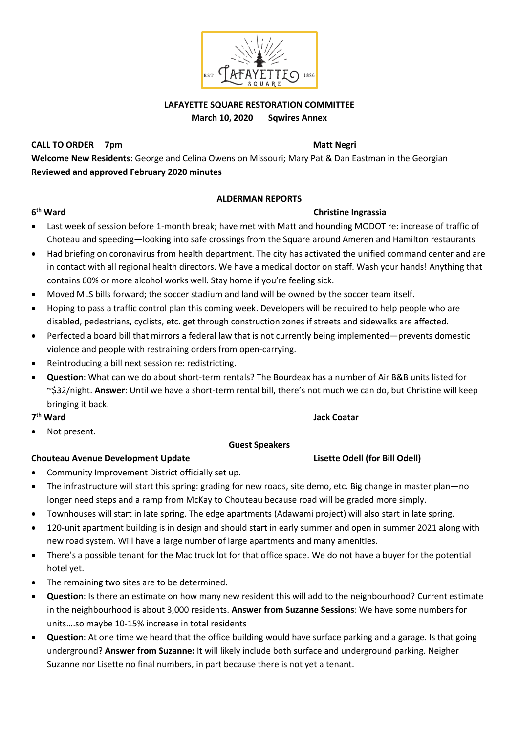

## **LAFAYETTE SQUARE RESTORATION COMMITTEE March 10, 2020 Sqwires Annex**

# **CALL TO ORDER 7pm Matt Negri** Number 2012 12:00 Matt Negri

**Welcome New Residents:** George and Celina Owens on Missouri; Mary Pat & Dan Eastman in the Georgian **Reviewed and approved February 2020 minutes**

### **ALDERMAN REPORTS**

## **Christine Ingrassia**

- Last week of session before 1-month break; have met with Matt and hounding MODOT re: increase of traffic of Choteau and speeding—looking into safe crossings from the Square around Ameren and Hamilton restaurants
- Had briefing on coronavirus from health department. The city has activated the unified command center and are in contact with all regional health directors. We have a medical doctor on staff. Wash your hands! Anything that contains 60% or more alcohol works well. Stay home if you're feeling sick.
- Moved MLS bills forward; the soccer stadium and land will be owned by the soccer team itself.
- Hoping to pass a traffic control plan this coming week. Developers will be required to help people who are disabled, pedestrians, cyclists, etc. get through construction zones if streets and sidewalks are affected.
- Perfected a board bill that mirrors a federal law that is not currently being implemented—prevents domestic violence and people with restraining orders from open-carrying.
- Reintroducing a bill next session re: redistricting.
- **Question**: What can we do about short-term rentals? The Bourdeax has a number of Air B&B units listed for ~\$32/night. **Answer**: Until we have a short-term rental bill, there's not much we can do, but Christine will keep bringing it back.

7<sup>th</sup> Ward **th Ward Jack Coatar**

Not present.

### **Guest Speakers**

# **Chouteau Avenue Development Update Lisette Odell (for Bill Odell)**

- Community Improvement District officially set up.
- The infrastructure will start this spring: grading for new roads, site demo, etc. Big change in master plan—no longer need steps and a ramp from McKay to Chouteau because road will be graded more simply.
- Townhouses will start in late spring. The edge apartments (Adawami project) will also start in late spring.
- 120-unit apartment building is in design and should start in early summer and open in summer 2021 along with new road system. Will have a large number of large apartments and many amenities.
- There's a possible tenant for the Mac truck lot for that office space. We do not have a buyer for the potential hotel yet.
- The remaining two sites are to be determined.
- **Question**: Is there an estimate on how many new resident this will add to the neighbourhood? Current estimate in the neighbourhood is about 3,000 residents. **Answer from Suzanne Sessions**: We have some numbers for units….so maybe 10-15% increase in total residents
- **Question**: At one time we heard that the office building would have surface parking and a garage. Is that going underground? **Answer from Suzanne:** It will likely include both surface and underground parking. Neigher Suzanne nor Lisette no final numbers, in part because there is not yet a tenant.

#### **6**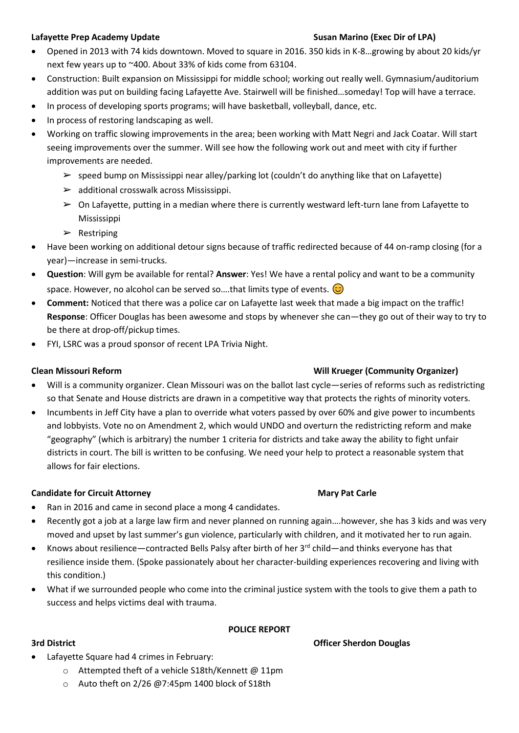#### **Lafayette Prep Academy Update Susan Marino (Exec Dir of LPA)**

- Opened in 2013 with 74 kids downtown. Moved to square in 2016. 350 kids in K-8…growing by about 20 kids/yr next few years up to ~400. About 33% of kids come from 63104.
- Construction: Built expansion on Mississippi for middle school; working out really well. Gymnasium/auditorium addition was put on building facing Lafayette Ave. Stairwell will be finished…someday! Top will have a terrace.
- In process of developing sports programs; will have basketball, volleyball, dance, etc.
- In process of restoring landscaping as well.
- Working on traffic slowing improvements in the area; been working with Matt Negri and Jack Coatar. Will start seeing improvements over the summer. Will see how the following work out and meet with city if further improvements are needed.
	- $\triangleright$  speed bump on Mississippi near alley/parking lot (couldn't do anything like that on Lafayette)
	- $\triangleright$  additional crosswalk across Mississippi.
	- $\triangleright$  On Lafayette, putting in a median where there is currently westward left-turn lane from Lafayette to Mississippi
	- $\triangleright$  Restriping
- Have been working on additional detour signs because of traffic redirected because of 44 on-ramp closing (for a year)—increase in semi-trucks.
- **Question**: Will gym be available for rental? **Answer**: Yes! We have a rental policy and want to be a community space. However, no alcohol can be served so ... that limits type of events.  $\circled{c}$
- **Comment:** Noticed that there was a police car on Lafayette last week that made a big impact on the traffic! **Response**: Officer Douglas has been awesome and stops by whenever she can—they go out of their way to try to be there at drop-off/pickup times.
- FYI, LSRC was a proud sponsor of recent LPA Trivia Night.

- Will is a community organizer. Clean Missouri was on the ballot last cycle—series of reforms such as redistricting so that Senate and House districts are drawn in a competitive way that protects the rights of minority voters.
- Incumbents in Jeff City have a plan to override what voters passed by over 60% and give power to incumbents and lobbyists. Vote no on Amendment 2, which would UNDO and overturn the redistricting reform and make "geography" (which is arbitrary) the number 1 criteria for districts and take away the ability to fight unfair districts in court. The bill is written to be confusing. We need your help to protect a reasonable system that allows for fair elections.

### **Candidate for Circuit Attorney Mary Pat Carle**

- Ran in 2016 and came in second place a mong 4 candidates.
- Recently got a job at a large law firm and never planned on running again….however, she has 3 kids and was very moved and upset by last summer's gun violence, particularly with children, and it motivated her to run again.
- Knows about resilience—contracted Bells Palsy after birth of her  $3<sup>rd</sup>$  child—and thinks everyone has that resilience inside them. (Spoke passionately about her character-building experiences recovering and living with this condition.)
- What if we surrounded people who come into the criminal justice system with the tools to give them a path to success and helps victims deal with trauma.

### **POLICE REPORT**

- Lafayette Square had 4 crimes in February:
	- o Attempted theft of a vehicle S18th/Kennett @ 11pm
	- o Auto theft on 2/26 @7:45pm 1400 block of S18th

# **Clean Missouri Reform Will Krueger (Community Organizer)**

### **3rd District Officer Sherdon Douglas**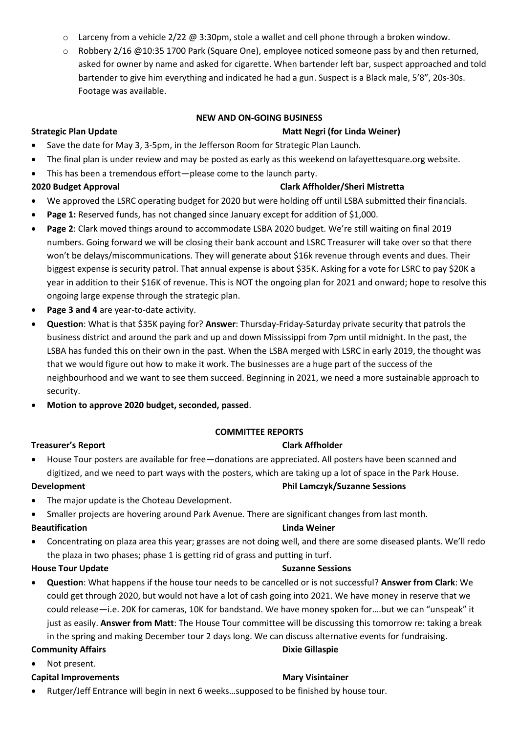- $\circ$  Larceny from a vehicle 2/22 @ 3:30pm, stole a wallet and cell phone through a broken window.
- o Robbery 2/16 @10:35 1700 Park (Square One), employee noticed someone pass by and then returned, asked for owner by name and asked for cigarette. When bartender left bar, suspect approached and told bartender to give him everything and indicated he had a gun. Suspect is a Black male, 5'8", 20s-30s. Footage was available.

#### **NEW AND ON-GOING BUSINESS**

#### **Strategic Plan Update Matt Negri (for Linda Weiner)** Matt Negri (for Linda Weiner)

- Save the date for May 3, 3-5pm, in the Jefferson Room for Strategic Plan Launch.
- The final plan is under review and may be posted as early as this weekend on lafayettesquare.org website.
- This has been a tremendous effort—please come to the launch party.

### **2020 Budget Approval Clark Affholder/Sheri Mistretta**

- We approved the LSRC operating budget for 2020 but were holding off until LSBA submitted their financials.
- **Page 1:** Reserved funds, has not changed since January except for addition of \$1,000.
- **Page 2**: Clark moved things around to accommodate LSBA 2020 budget. We're still waiting on final 2019 numbers. Going forward we will be closing their bank account and LSRC Treasurer will take over so that there won't be delays/miscommunications. They will generate about \$16k revenue through events and dues. Their biggest expense is security patrol. That annual expense is about \$35K. Asking for a vote for LSRC to pay \$20K a year in addition to their \$16K of revenue. This is NOT the ongoing plan for 2021 and onward; hope to resolve this ongoing large expense through the strategic plan.
- Page 3 and 4 are year-to-date activity.
- **Question**: What is that \$35K paying for? **Answer**: Thursday-Friday-Saturday private security that patrols the business district and around the park and up and down Mississippi from 7pm until midnight. In the past, the LSBA has funded this on their own in the past. When the LSBA merged with LSRC in early 2019, the thought was that we would figure out how to make it work. The businesses are a huge part of the success of the neighbourhood and we want to see them succeed. Beginning in 2021, we need a more sustainable approach to security.
- **Motion to approve 2020 budget, seconded, passed**.

### **COMMITTEE REPORTS**

### **Treasurer's Report Clark Affholder**

• House Tour posters are available for free—donations are appreciated. All posters have been scanned and digitized, and we need to part ways with the posters, which are taking up a lot of space in the Park House.

### **Development Phil Lamczyk/Suzanne Sessions**

- The major update is the Choteau Development.
- Smaller projects are hovering around Park Avenue. There are significant changes from last month.
- **Beautification Linda Weiner**
- Concentrating on plaza area this year; grasses are not doing well, and there are some diseased plants. We'll redo the plaza in two phases; phase 1 is getting rid of grass and putting in turf.

### **House Tour Update Suzanne Sessions** Suzanne Sessions

• **Question**: What happens if the house tour needs to be cancelled or is not successful? **Answer from Clark**: We could get through 2020, but would not have a lot of cash going into 2021. We have money in reserve that we could release—i.e. 20K for cameras, 10K for bandstand. We have money spoken for….but we can "unspeak" it just as easily. **Answer from Matt**: The House Tour committee will be discussing this tomorrow re: taking a break in the spring and making December tour 2 days long. We can discuss alternative events for fundraising.

### **Community Affairs Dixie Gillaspie Dixie Gillaspie**

Not present.

### **Capital Improvements Capital Improvements According Capital Improvements** Mary Visintainer

- 
- Rutger/Jeff Entrance will begin in next 6 weeks…supposed to be finished by house tour.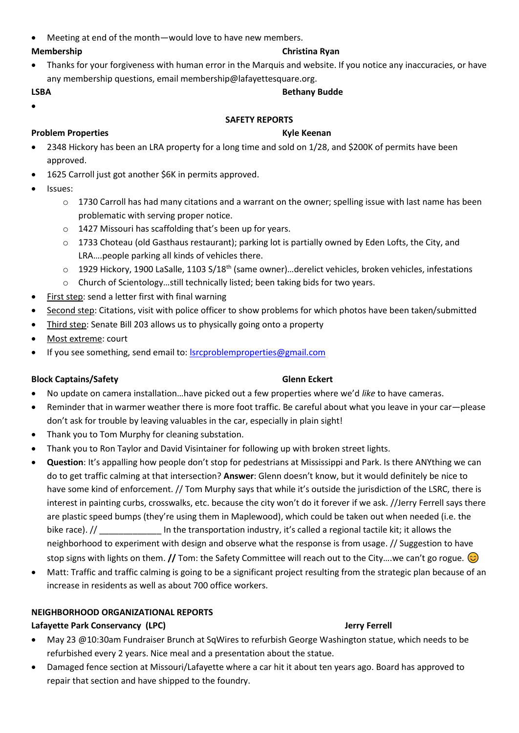- Meeting at end of the month—would love to have new members.
- 

## **Membership Christina Ryan**

- Thanks for your forgiveness with human error in the Marquis and website. If you notice any inaccuracies, or have any membership questions, email membership@lafayettesquare.org.
- **LSBA** Bethany Budde
- •

## **SAFETY REPORTS**

## **Problem Properties According to According the Contract Contract According to According the Kyle Keenan**

- 2348 Hickory has been an LRA property for a long time and sold on 1/28, and \$200K of permits have been approved.
- 1625 Carroll just got another \$6K in permits approved.
- Issues:
	- $\circ$  1730 Carroll has had many citations and a warrant on the owner; spelling issue with last name has been problematic with serving proper notice.
	- o 1427 Missouri has scaffolding that's been up for years.
	- o 1733 Choteau (old Gasthaus restaurant); parking lot is partially owned by Eden Lofts, the City, and LRA….people parking all kinds of vehicles there.
	- $\circ$  1929 Hickory, 1900 LaSalle, 1103 S/18<sup>th</sup> (same owner)...derelict vehicles, broken vehicles, infestations
	- o Church of Scientology…still technically listed; been taking bids for two years.
- First step: send a letter first with final warning
- Second step: Citations, visit with police officer to show problems for which photos have been taken/submitted
- Third step: Senate Bill 203 allows us to physically going onto a property
- Most extreme: court
- If you see something, send email to: **Isrcproblemproperties@gmail.com**

# **Block Captains/Safety** Glenn Eckert

- No update on camera installation…have picked out a few properties where we'd *like* to have cameras.
- Reminder that in warmer weather there is more foot traffic. Be careful about what you leave in your car—please don't ask for trouble by leaving valuables in the car, especially in plain sight!
- Thank you to Tom Murphy for cleaning substation.
- Thank you to Ron Taylor and David Visintainer for following up with broken street lights.
- **Question**: It's appalling how people don't stop for pedestrians at Mississippi and Park. Is there ANYthing we can do to get traffic calming at that intersection? **Answer**: Glenn doesn't know, but it would definitely be nice to have some kind of enforcement. // Tom Murphy says that while it's outside the jurisdiction of the LSRC, there is interest in painting curbs, crosswalks, etc. because the city won't do it forever if we ask. //Jerry Ferrell says there are plastic speed bumps (they're using them in Maplewood), which could be taken out when needed (i.e. the bike race). // *Discussion In the transportation industry, it's called a regional tactile kit; it allows the* neighborhood to experiment with design and observe what the response is from usage. // Suggestion to have stop signs with lights on them. **//** Tom: the Safety Committee will reach out to the City….we can't go rogue.
- Matt: Traffic and traffic calming is going to be a significant project resulting from the strategic plan because of an increase in residents as well as about 700 office workers.

# **NEIGHBORHOOD ORGANIZATIONAL REPORTS**

# **Lafayette Park Conservancy (LPC) Jerry Ferrell**

- May 23 @10:30am Fundraiser Brunch at SqWires to refurbish George Washington statue, which needs to be refurbished every 2 years. Nice meal and a presentation about the statue.
- Damaged fence section at Missouri/Lafayette where a car hit it about ten years ago. Board has approved to repair that section and have shipped to the foundry.